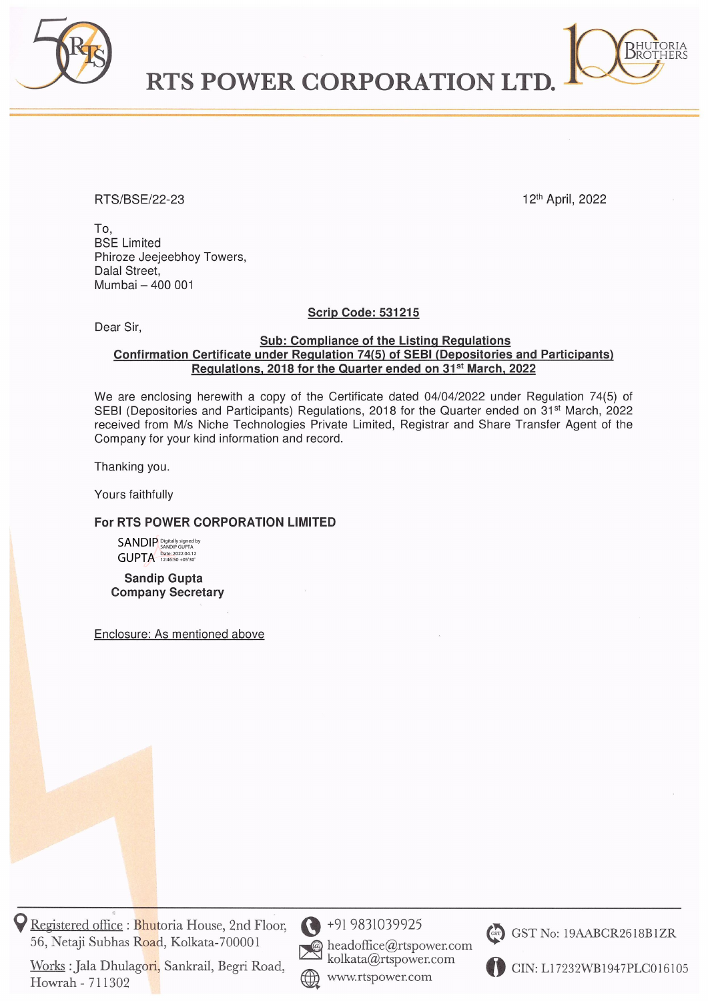

RTS POWER CORPORATION LT



BHUTORIA<br>Brothers

To, BSE Limited Phiroze Jeejeebhoy Towers, Dalal Street, Mumbai — 400 001

Dear Sir,

Scrip Code: 531215

## Sub: Compliance of the Listing Regulations Confirmation Certificate under Regulation 74(5) of SEBI (Depositories and Participants) Regulations, 2018 for the Quarter ended on 31<sup>st</sup> March, 2022

We are enclosing herewith a copy of the Certificate dated 04/04/2022 under Regulation 74(5) of SEBI (Depositories and Participants) Regulations, 2018 for the Quarter ended on 31<sup>st</sup> March, 2022 received from M/s Niche Technologies Private Limited, Registrar and Share Transfer Agent of the Company for your kind information and record. Phiroze Jeejeebhoy Towers,<br>Dalai Street,<br>Mumbal = 400 001<br>Dear Sir,<br>Confirmation Certificate under Regulation<br>Regulation Scotter Regulation<br>We are enclosing herewith a copy of the Cer<br>SEBI (Depositories and Participants) R

Thanking you.

Yours faithfully

## For RTS POWER CORPORATION LIMITED

SANDIP **GUPTA** Digitally signed by SANDIP GUPTA Date: 2022.04.12 12:46:50 +05'30'

Sandip Gupta Company Secretary

Enclosure: AS mentioned above

9 Registered office : Bhutoria House, 2nd Floor,  $\bigodot$  +91 9831039925 56, Netaji Subhas Road, Kolkata-700001 (a) headoffice@rtspower.com

Works : Jala Dhulagori, Sankrail, Begri Road, Howrah - 711302



kolkata@rtspower.com CIN: L17232WB1947PLC016105



@) GST No: 19AABCR2618B1ZR